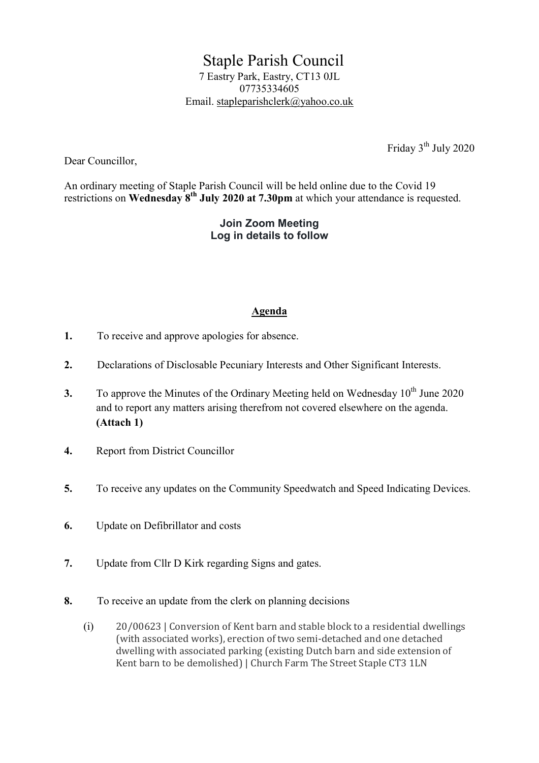Staple Parish Council 7 Eastry Park, Eastry, CT13 0JL 07735334605 Email. stapleparishclerk@yahoo.co.uk

Friday  $3<sup>th</sup>$  July 2020

Dear Councillor,

An ordinary meeting of Staple Parish Council will be held online due to the Covid 19 restrictions on Wednesday  $8^{th}$  July 2020 at 7.30pm at which your attendance is requested.

## Join Zoom Meeting Log in details to follow

## Agenda

- 1. To receive and approve apologies for absence.
- 2. Declarations of Disclosable Pecuniary Interests and Other Significant Interests.
- 3. To approve the Minutes of the Ordinary Meeting held on Wednesday  $10^{th}$  June 2020 and to report any matters arising therefrom not covered elsewhere on the agenda. (Attach 1)
- 4. Report from District Councillor
- 5. To receive any updates on the Community Speedwatch and Speed Indicating Devices.
- 6. Update on Defibrillator and costs
- 7. Update from Cllr D Kirk regarding Signs and gates.
- 8. To receive an update from the clerk on planning decisions
	- (i) 20/00623 | Conversion of Kent barn and stable block to a residential dwellings (with associated works), erection of two semi-detached and one detached dwelling with associated parking (existing Dutch barn and side extension of Kent barn to be demolished) | Church Farm The Street Staple CT3 1LN